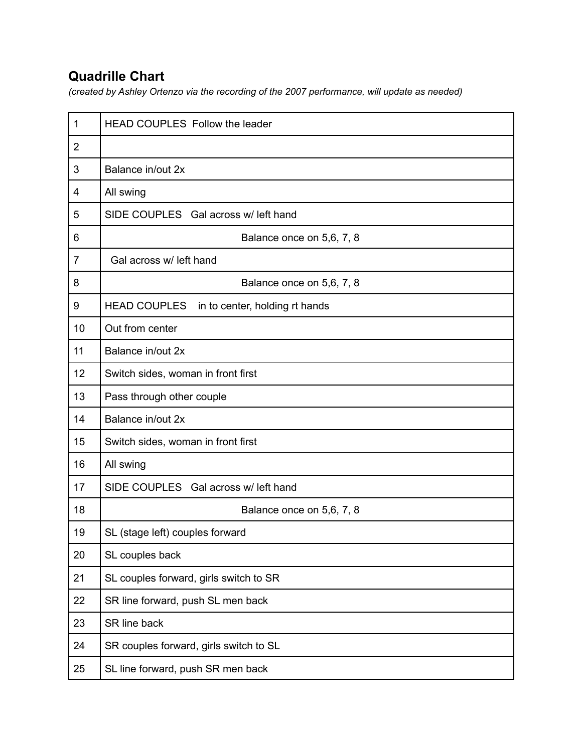## **Quadrille Chart**

*(created by Ashley Ortenzo via the recording of the 2007 performance, will update as needed)*

| 1              | <b>HEAD COUPLES Follow the leader</b>                 |
|----------------|-------------------------------------------------------|
| $\overline{2}$ |                                                       |
| 3              | Balance in/out 2x                                     |
| 4              | All swing                                             |
| 5              | SIDE COUPLES Gal across w/ left hand                  |
| 6              | Balance once on 5,6, 7, 8                             |
| $\overline{7}$ | Gal across w/ left hand                               |
| 8              | Balance once on 5,6, 7, 8                             |
| 9              | <b>HEAD COUPLES</b><br>in to center, holding rt hands |
| 10             | Out from center                                       |
| 11             | Balance in/out 2x                                     |
| 12             | Switch sides, woman in front first                    |
| 13             | Pass through other couple                             |
| 14             | Balance in/out 2x                                     |
| 15             | Switch sides, woman in front first                    |
| 16             | All swing                                             |
| 17             | SIDE COUPLES Gal across w/left hand                   |
| 18             | Balance once on 5,6, 7, 8                             |
| 19             | SL (stage left) couples forward                       |
| 20             | SL couples back                                       |
| 21             | SL couples forward, girls switch to SR                |
| 22             | SR line forward, push SL men back                     |
| 23             | SR line back                                          |
| 24             | SR couples forward, girls switch to SL                |
| 25             | SL line forward, push SR men back                     |